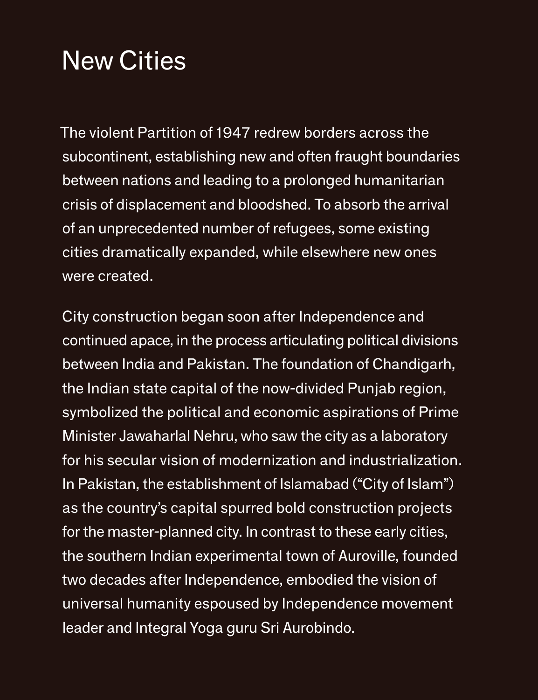The violent Partition of 1947 redrew borders across the subcontinent, establishing new and often fraught boundaries between nations and leading to a prolonged humanitarian crisis of displacement and bloodshed. To absorb the arrival of an unprecedented number of refugees, some existing cities dramatically expanded, while elsewhere new ones were created.

City construction began soon after Independence and

continued apace, in the process articulating political divisions between India and Pakistan. The foundation of Chandigarh, the Indian state capital of the now-divided Punjab region, symbolized the political and economic aspirations of Prime Minister Jawaharlal Nehru, who saw the city as a laboratory for his secular vision of modernization and industrialization. In Pakistan, the establishment of Islamabad ("City of Islam") as the country's capital spurred bold construction projects for the master-planned city. In contrast to these early cities, the southern Indian experimental town of Auroville, founded two decades after Independence, embodied the vision of universal humanity espoused by Independence movement leader and Integral Yoga guru Sri Aurobindo.

## New Cities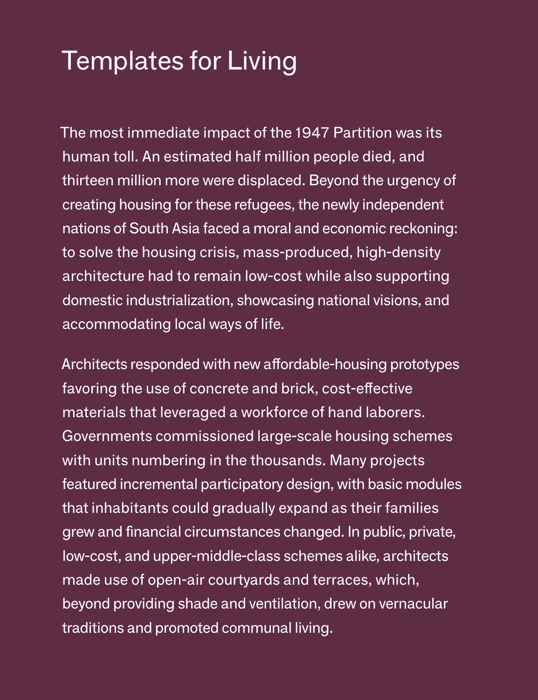The most immediate impact of the 1947 Partition was its human toll. An estimated half million people died, and thirteen million more were displaced. Beyond the urgency of creating housing for these refugees, the newly independent nations of South Asia faced a moral and economic reckoning: to solve the housing crisis, mass-produced, high-density architecture had to remain low-cost while also supporting domestic industrialization, showcasing national visions, and accommodating local ways of life.

Architects responded with new affordable-housing prototypes favoring the use of concrete and brick, cost-effective materials that leveraged a workforce of hand laborers. Governments commissioned large-scale housing schemes with units numbering in the thousands. Many projects featured incremental participatory design, with basic modules that inhabitants could gradually expand as their families grew and financial circumstances changed. In public, private, low-cost, and upper-middle-class schemes alike, architects made use of open-air courtyards and terraces, which, beyond providing shade and ventilation, drew on vernacular traditions and promoted communal living.

## Templates for Living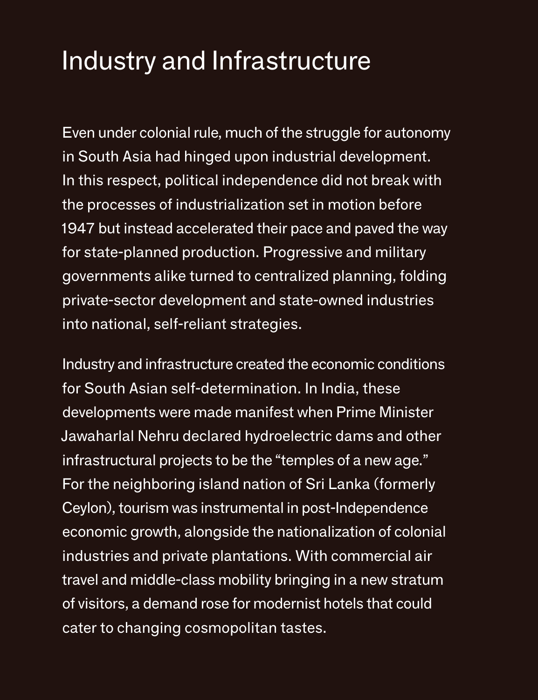Even under colonial rule, much of the struggle for autonomy in South Asia had hinged upon industrial development. In this respect, political independence did not break with the processes of industrialization set in motion before 1947 but instead accelerated their pace and paved the way for state-planned production. Progressive and military governments alike turned to centralized planning, folding private-sector development and state-owned industries into national, self-reliant strategies.

Industry and infrastructure created the economic conditions for South Asian self-determination. In India, these developments were made manifest when Prime Minister Jawaharlal Nehru declared hydroelectric dams and other infrastructural projects to be the "temples of a new age." For the neighboring island nation of Sri Lanka (formerly Ceylon), tourism was instrumental in post-Independence economic growth, alongside the nationalization of colonial industries and private plantations. With commercial air travel and middle-class mobility bringing in a new stratum of visitors, a demand rose for modernist hotels that could cater to changing cosmopolitan tastes.

#### Industry and Infrastructure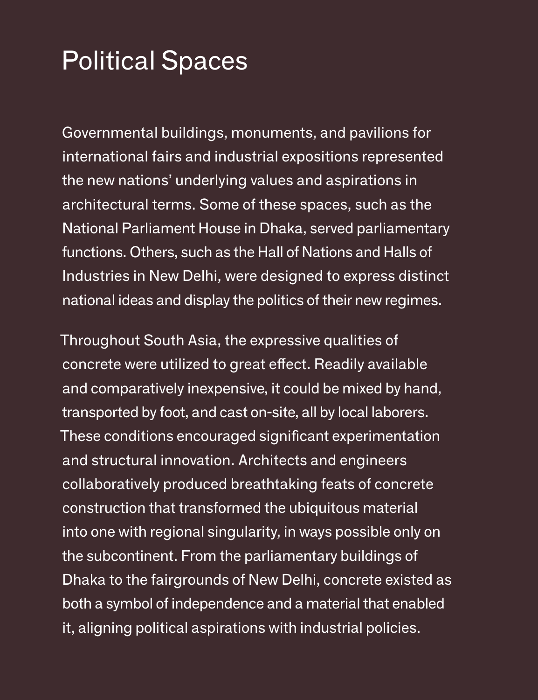Governmental buildings, monuments, and pavilions for international fairs and industrial expositions represented the new nations' underlying values and aspirations in architectural terms. Some of these spaces, such as the National Parliament House in Dhaka, served parliamentary functions. Others, such as the Hall of Nations and Halls of Industries in New Delhi, were designed to express distinct national ideas and display the politics of their new regimes.

Throughout South Asia, the expressive qualities of concrete were utilized to great effect. Readily available and comparatively inexpensive, it could be mixed by hand, transported by foot, and cast on-site, all by local laborers. These conditions encouraged significant experimentation and structural innovation. Architects and engineers collaboratively produced breathtaking feats of concrete construction that transformed the ubiquitous material into one with regional singularity, in ways possible only on the subcontinent. From the parliamentary buildings of Dhaka to the fairgrounds of New Delhi, concrete existed as both a symbol of independence and a material that enabled it, aligning political aspirations with industrial policies.

#### Political Spaces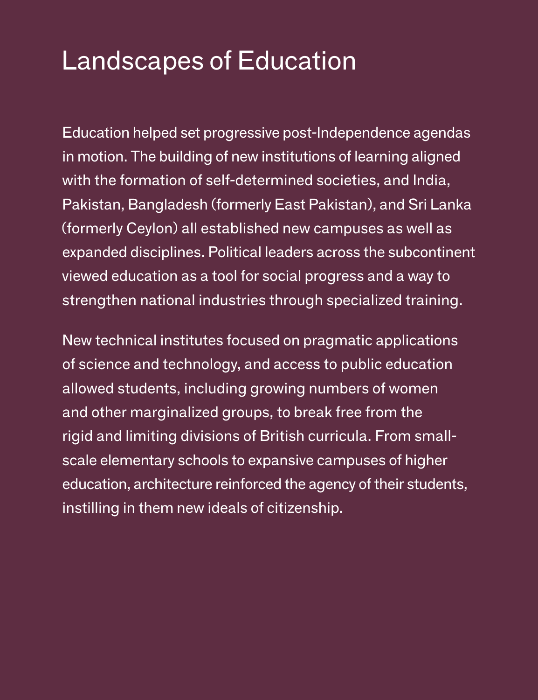Education helped set progressive post-Independence agendas in motion. The building of new institutions of learning aligned with the formation of self-determined societies, and India, Pakistan, Bangladesh (formerly East Pakistan), and Sri Lanka (formerly Ceylon) all established new campuses as well as expanded disciplines. Political leaders across the subcontinent viewed education as a tool for social progress and a way to strengthen national industries through specialized training.

New technical institutes focused on pragmatic applications of science and technology, and access to public education allowed students, including growing numbers of women and other marginalized groups, to break free from the rigid and limiting divisions of British curricula. From smallscale elementary schools to expansive campuses of higher education, architecture reinforced the agency of their students, instilling in them new ideals of citizenship.

### Landscapes of Education